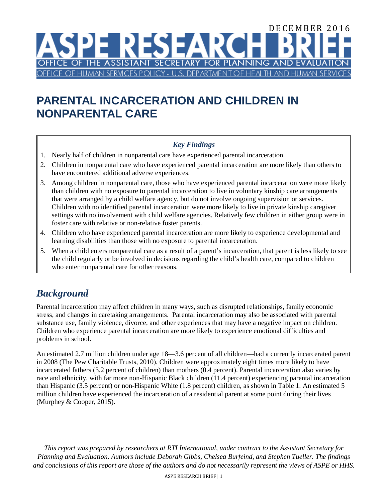### DECEMBER 2016 ESEA CE OF THE ASSISTANT SECRETARY FOR **PLANNING AND EVAL** OF HUMAN SERVICES POLICY - U.S. DEPARTME **HFAITH**

# **PARENTAL INCARCERATION AND CHILDREN IN NONPARENTAL CARE**

## *Key Findings*

- 1. Nearly half of children in nonparental care have experienced parental incarceration.
- 2. Children in nonparental care who have experienced parental incarceration are more likely than others to have encountered additional adverse experiences.
- 3. Among children in nonparental care, those who have experienced parental incarceration were more likely than children with no exposure to parental incarceration to live in voluntary kinship care arrangements that were arranged by a child welfare agency, but do not involve ongoing supervision or services. Children with no identified parental incarceration were more likely to live in private kinship caregiver settings with no involvement with child welfare agencies. Relatively few children in either group were in foster care with relative or non-relative foster parents.
- 4. Children who have experienced parental incarceration are more likely to experience developmental and learning disabilities than those with no exposure to parental incarceration.
- 5. When a child enters nonparental care as a result of a parent's incarceration, that parent is less likely to see the child regularly or be involved in decisions regarding the child's health care, compared to children who enter nonparental care for other reasons.

## *Background*

Parental incarceration may affect children in many ways, such as disrupted relationships, family economic stress, and changes in caretaking arrangements. Parental incarceration may also be associated with parental substance use, family violence, divorce, and other experiences that may have a negative impact on children. Children who experience parental incarceration are more likely to experience emotional difficulties and problems in school.

An estimated 2.7 million children under age 18—3.6 percent of all children—had a currently incarcerated parent in 2008 (The Pew Charitable Trusts, 2010). Children were approximately eight times more likely to have incarcerated fathers (3.2 percent of children) than mothers (0.4 percent). Parental incarceration also varies by race and ethnicity, with far more non-Hispanic Black children (11.4 percent) experiencing parental incarceration than Hispanic (3.5 percent) or non-Hispanic White (1.8 percent) children, as shown in Table 1. An estimated 5 million children have experienced the incarceration of a residential parent at some point during their lives (Murphey & Cooper, 2015).

*This report was prepared by researchers at RTI International, under contract to the Assistant Secretary for Planning and Evaluation. Authors include Deborah Gibbs, Chelsea Burfeind, and Stephen Tueller. The findings and conclusions of this report are those of the authors and do not necessarily represent the views of ASPE or HHS.*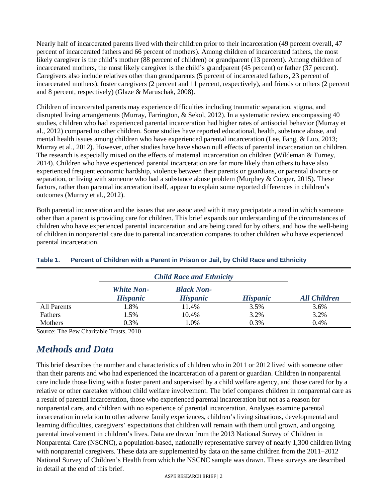Nearly half of incarcerated parents lived with their children prior to their incarceration (49 percent overall, 47 percent of incarcerated fathers and 66 percent of mothers). Among children of incarcerated fathers, the most likely caregiver is the child's mother (88 percent of children) or grandparent (13 percent). Among children of incarcerated mothers, the most likely caregiver is the child's grandparent (45 percent) or father (37 percent). Caregivers also include relatives other than grandparents (5 percent of incarcerated fathers, 23 percent of incarcerated mothers), foster caregivers (2 percent and 11 percent, respectively), and friends or others (2 percent and 8 percent, respectively) (Glaze & Maruschak, 2008).

Children of incarcerated parents may experience difficulties including traumatic separation, stigma, and disrupted living arrangements (Murray, Farrington, & Sekol, 2012). In a systematic review encompassing 40 studies, children who had experienced parental incarceration had higher rates of antisocial behavior (Murray et al., 2012) compared to other children. Some studies have reported educational, health, substance abuse, and mental health issues among children who have experienced parental incarceration (Lee, Fang, & Luo, 2013; Murray et al., 2012). However, other studies have have shown null effects of parental incarceration on children. The research is especially mixed on the effects of maternal incarceration on children (Wildeman & Turney, 2014). Children who have experienced parental incarceration are far more likely than others to have also experienced frequent economic hardship, violence between their parents or guardians, or parental divorce or separation, or living with someone who had a substance abuse problem (Murphey  $& Cooper, 2015$ ). These factors, rather than parental incarceration itself, appear to explain some reported differences in children's outcomes (Murray et al., 2012).

Both parental incarceration and the issues that are associated with it may precipatate a need in which someone other than a parent is providing care for children. This brief expands our understanding of the circumstances of children who have experienced parental incarceration and are being cared for by others, and how the well-being of children in nonparental care due to parental incarceration compares to other children who have experienced parental incarceration.

|             | <b>Child Race and Ethnicity</b>      |                                      |                 |                     |
|-------------|--------------------------------------|--------------------------------------|-----------------|---------------------|
|             | <b>White Non-</b><br><b>Hispanic</b> | <b>Black Non-</b><br><b>Hispanic</b> | <b>Hispanic</b> | <b>All Children</b> |
| All Parents | 1.8%                                 | 11.4%                                | 3.5%            | 3.6%                |
| Fathers     | 1.5%                                 | 10.4%                                | 3.2%            | 3.2%                |
| Mothers     | 0.3%                                 | l.0%                                 | 0.3%            | 0.4%                |

#### **Table 1. Percent of Children with a Parent in Prison or Jail, by Child Race and Ethnicity**

Source: The Pew Charitable Trusts, 2010

## *Methods and Data*

This brief describes the number and characteristics of children who in 2011 or 2012 lived with someone other than their parents and who had experienced the incarceration of a parent or guardian. Children in nonparental care include those living with a foster parent and supervised by a child welfare agency, and those cared for by a relative or other caretaker without child welfare involvement. The brief compares children in nonparental care as a result of parental incarceration, those who experienced parental incarceration but not as a reason for nonparental care, and children with no experience of parental incarceration. Analyses examine parental incarceration in relation to other adverse family experiences, children's living situations, developmental and learning difficulties, caregivers' expectations that children will remain with them until grown, and ongoing parental involvement in children's lives. Data are drawn from the 2013 National Survey of Children in Nonparental Care (NSCNC), a population-based, nationally representative survey of nearly 1,300 children living with nonparental caregivers. These data are supplemented by data on the same children from the 2011–2012 National Survey of Children's Health from which the NSCNC sample was drawn. These surveys are described in detail at the end of this brief.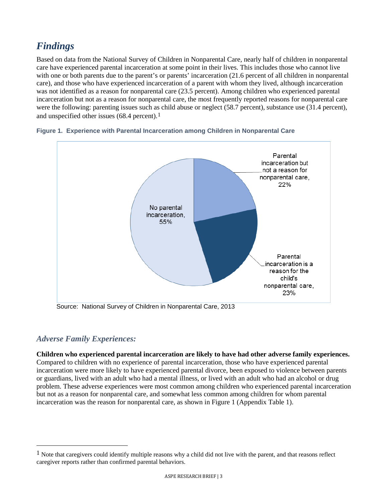## *Findings*

Based on data from the National Survey of Children in Nonparental Care, nearly half of children in nonparental care have experienced parental incarceration at some point in their lives. This includes those who cannot live with one or both parents due to the parent's or parents' incarceration (21.6 percent of all children in nonparental care), and those who have experienced incarceration of a parent with whom they lived, although incarceration was not identified as a reason for nonparental care (23.5 percent). Among children who experienced parental incarceration but not as a reason for nonparental care, the most frequently reported reasons for nonparental care were the following: parenting issues such as child abuse or neglect (58.7 percent), substance use (31.4 percent), and unspecified other issues  $(68.4 \text{ percent})$ .<sup>[1](#page-2-0)</sup>



#### **Figure 1. Experience with Parental Incarceration among Children in Nonparental Care**

Source: National Survey of Children in Nonparental Care, 2013

### *Adverse Family Experiences:*

 $\overline{a}$ 

**Children who experienced parental incarceration are likely to have had other adverse family experiences.** Compared to children with no experience of parental incarceration, those who have experienced parental incarceration were more likely to have experienced parental divorce, been exposed to violence between parents or guardians, lived with an adult who had a mental illness, or lived with an adult who had an alcohol or drug problem. These adverse experiences were most common among children who experienced parental incarceration but not as a reason for nonparental care, and somewhat less common among children for whom parental incarceration was the reason for nonparental care, as shown in Figure 1 (Appendix Table 1).

<span id="page-2-0"></span> $<sup>1</sup>$  Note that caregivers could identify multiple reasons why a child did not live with the parent, and that reasons reflect</sup> caregiver reports rather than confirmed parental behaviors.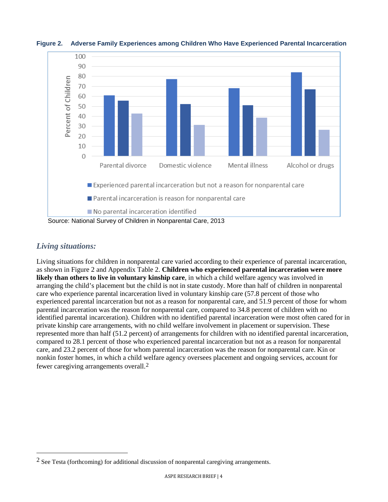

**Figure 2. Adverse Family Experiences among Children Who Have Experienced Parental Incarceration** 

### *Living situations:*

 $\overline{a}$ 

Living situations for children in nonparental care varied according to their experience of parental incarceration, as shown in Figure 2 and Appendix Table 2. **Children who experienced parental incarceration were more likely than others to live in voluntary kinship care**, in which a child welfare agency was involved in arranging the child's placement but the child is not in state custody. More than half of children in nonparental care who experience parental incarceration lived in voluntary kinship care (57.8 percent of those who experienced parental incarceration but not as a reason for nonparental care, and 51.9 percent of those for whom parental incarceration was the reason for nonparental care, compared to 34.8 percent of children with no identified parental incarceration). Children with no identified parental incarceration were most often cared for in private kinship care arrangements, with no child welfare involvement in placement or supervision. These represented more than half (51.2 percent) of arrangements for children with no identified parental incarceration, compared to 28.1 percent of those who experienced parental incarceration but not as a reason for nonparental care, and 23.2 percent of those for whom parental incarceration was the reason for nonparental care. Kin or nonkin foster homes, in which a child welfare agency oversees placement and ongoing services, account for fewer caregiving arrangements overall.[2](#page-3-0)

<span id="page-3-0"></span> $2$  See Testa (forthcoming) for additional discussion of nonparental caregiving arrangements.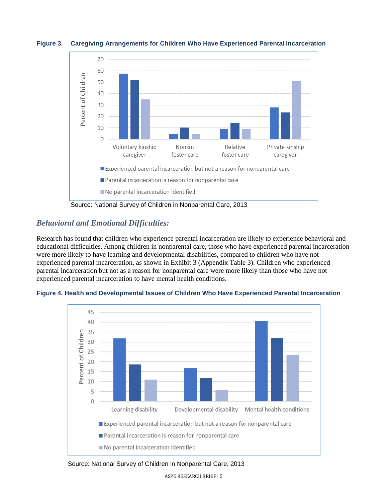

**Figure 3. Caregiving Arrangements for Children Who Have Experienced Parental Incarceration** 

Source: National Survey of Children in Nonparental Care, 2013

### *Behavioral and Emotional Difficulties:*

Research has found that children who experience parental incarceration are likely to experience behavioral and educational difficulties. Among children in nonparental care, those who have experienced parental incarceration were more likely to have learning and developmental disabilities, compared to children who have not experienced parental incarceration, as shown in Exhibit 3 (Appendix Table 3). Children who experienced parental incarceration but not as a reason for nonparental care were more likely than those who have not experienced parental incarceration to have mental health conditions.





Source: National Survey of Children in Nonparental Care, 2013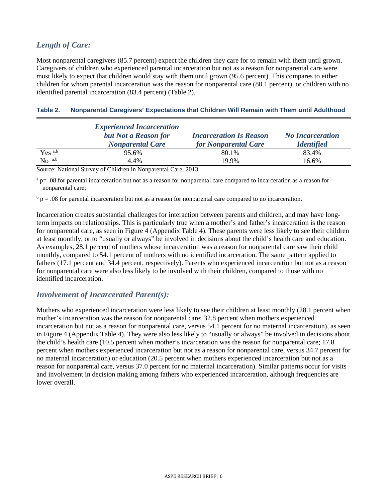## *Length of Care:*

Most nonparental caregivers (85.7 percent) expect the children they care for to remain with them until grown. Caregivers of children who experienced parental incarceration but not as a reason for nonparental care were most likely to expect that children would stay with them until grown (95.6 percent). This compares to either children for whom parental incarceration was the reason for nonparental care (80.1 percent), or children with no identified parental incarceration (83.4 percent) (Table 2).

#### **Table 2. Nonparental Caregivers' Expectations that Children Will Remain with Them until Adulthood**

|                    | <b>Experienced Incarceration</b>                |                                                               |                                              |
|--------------------|-------------------------------------------------|---------------------------------------------------------------|----------------------------------------------|
|                    | but Not a Reason for<br><b>Nonparental Care</b> | <b>Incarceration Is Reason</b><br><b>for Nonparental Care</b> | <b>No Incarceration</b><br><b>Identified</b> |
| Yes <sup>a,b</sup> | 95.6%                                           | 80.1%                                                         | 83.4%                                        |
| No <sup>a,b</sup>  | 4.4%                                            | 19.9%                                                         | 16.6%                                        |

Source: National Survey of Children in Nonparental Care, 2013

 $a_{\rm p}$  = .08 for parental incarceration but not as a reason for nonparental care compared to incarceration as a reason for nonparental care;

 $b$  p = .08 for parental incarceration but not as a reason for nonparental care compared to no incarceration.

Incarceration creates substantial challenges for interaction between parents and children, and may have longterm impacts on relationships. This is particularly true when a mother's and father's incarceration is the reason for nonparental care, as seen in Figure 4 (Appendix Table 4). These parents were less likely to see their children at least monthly, or to "usually or always" be involved in decisions about the child's health care and education. As examples, 28.1 percent of mothers whose incarceration was a reason for nonparental care saw their child monthly, compared to 54.1 percent of mothers with no identified incarceration. The same pattern applied to fathers (17.1 percent and 34.4 percent, respectively). Parents who experienced incarceration but not as a reason for nonparental care were also less likely to be involved with their children, compared to those with no identified incarceration.

### *Involvement of Incarcerated Parent(s):*

Mothers who experienced incarceration were less likely to see their children at least monthly (28.1 percent when mother's incarceration was the reason for nonparental care; 32.8 percent when mothers experienced incarceration but not as a reason for nonparental care, versus 54.1 percent for no maternal incarceration), as seen in Figure 4 (Appendix Table 4). They were also less likely to "usually or always" be involved in decisions about the child's health care (10.5 percent when mother's incarceration was the reason for nonparental care; 17.8 percent when mothers experienced incarceration but not as a reason for nonparental care, versus 34.7 percent for no maternal incarceration) or education (20.5 percent when mothers experienced incarceration but not as a reason for nonparental care, versus 37.0 percent for no maternal incarceration). Similar patterns occur for visits and involvement in decision making among fathers who experienced incarceration, although frequencies are lower overall.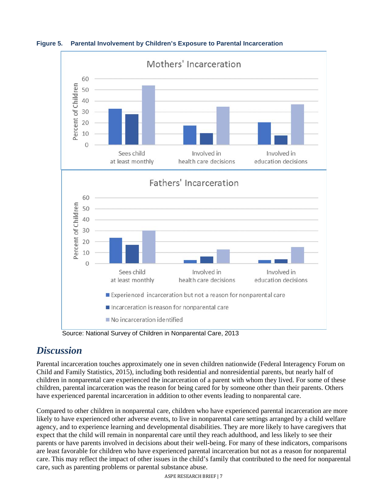

**Figure 5. Parental Involvement by Children's Exposure to Parental Incarceration**

Source: National Survey of Children in Nonparental Care, 2013

## *Discussion*

Parental incarceration touches approximately one in seven children nationwide (Federal Interagency Forum on Child and Family Statistics, 2015), including both residential and nonresidential parents, but nearly half of children in nonparental care experienced the incarceration of a parent with whom they lived. For some of these children, parental incarceration was the reason for being cared for by someone other than their parents. Others have experienced parental incarceration in addition to other events leading to nonparental care.

Compared to other children in nonparental care, children who have experienced parental incarceration are more likely to have experienced other adverse events, to live in nonparental care settings arranged by a child welfare agency, and to experience learning and developmental disabilities. They are more likely to have caregivers that expect that the child will remain in nonparental care until they reach adulthood, and less likely to see their parents or have parents involved in decisions about their well-being. For many of these indicators, comparisons are least favorable for children who have experienced parental incarceration but not as a reason for nonparental care. This may reflect the impact of other issues in the child's family that contributed to the need for nonparental care, such as parenting problems or parental substance abuse.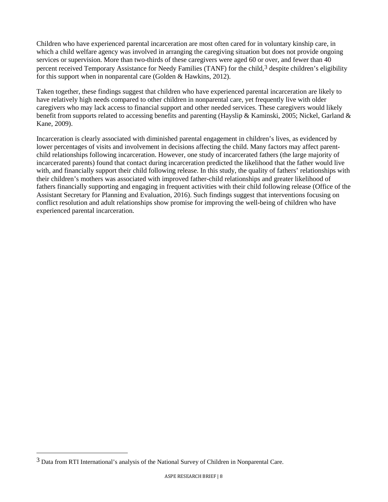Children who have experienced parental incarceration are most often cared for in voluntary kinship care, in which a child welfare agency was involved in arranging the caregiving situation but does not provide ongoing services or supervision. More than two-thirds of these caregivers were aged 60 or over, and fewer than 40 percent received Temporary Assistance for Needy Families (TANF) for the child,<sup>[3](#page-7-0)</sup> despite children's eligibility for this support when in nonparental care (Golden & Hawkins, 2012).

Taken together, these findings suggest that children who have experienced parental incarceration are likely to have relatively high needs compared to other children in nonparental care, yet frequently live with older caregivers who may lack access to financial support and other needed services. These caregivers would likely benefit from supports related to accessing benefits and parenting (Hayslip & Kaminski, 2005; Nickel, Garland & Kane, 2009).

Incarceration is clearly associated with diminished parental engagement in children's lives, as evidenced by lower percentages of visits and involvement in decisions affecting the child. Many factors may affect parentchild relationships following incarceration. However, one study of incarcerated fathers (the large majority of incarcerated parents) found that contact during incarceration predicted the likelihood that the father would live with, and financially support their child following release. In this study, the quality of fathers' relationships with their children's mothers was associated with improved father-child relationships and greater likelihood of fathers financially supporting and engaging in frequent activities with their child following release (Office of the Assistant Secretary for Planning and Evaluation, 2016). Such findings suggest that interventions focusing on conflict resolution and adult relationships show promise for improving the well-being of children who have experienced parental incarceration.

 $\overline{a}$ 

<span id="page-7-0"></span><sup>3</sup> Data from RTI International's analysis of the National Survey of Children in Nonparental Care.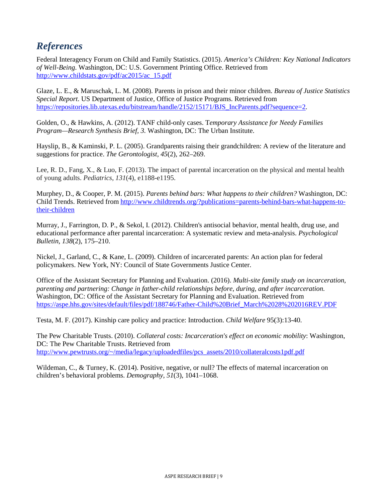## *References*

Federal Interagency Forum on Child and Family Statistics. (2015). *America's Children: Key National Indicators of Well-Being*. Washington, DC: U.S. Government Printing Office. Retrieved from http://www.childstats.gov/pdf/ac2015/ac\_15.pdf

Glaze, L. E., & Maruschak, L. M. (2008). Parents in prison and their minor children. *Bureau of Justice Statistics Special Report*. US Department of Justice, Office of Justice Programs. Retrieved from [https://repositories.lib.utexas.edu/bitstream/handle/2152/15171/BJS\\_IncParents.pdf?sequence=2.](https://repositories.lib.utexas.edu/bitstream/handle/2152/15171/BJS_IncParents.pdf?sequence=2)

Golden, O., & Hawkins, A. (2012). TANF child-only cases. T*emporary Assistance for Needy Families Program—Research Synthesis Brief, 3.* Washington, DC: The Urban Institute.

Hayslip, B., & Kaminski, P. L. (2005). Grandparents raising their grandchildren: A review of the literature and suggestions for practice. *The Gerontologist, 45*(2), 262–269.

Lee, R. D., Fang, X., & Luo, F. (2013). The impact of parental incarceration on the physical and mental health of young adults. *Pediatrics*, *131*(4), e1188-e1195.

Murphey, D., & Cooper, P. M. (2015). *Parents behind bars: What happens to their children?* Washington, DC: Child Trends. Retrieved from [http://www.childtrends.org/?publications=parents-behind-bars-what-happens-to](http://www.childtrends.org/?publications=parents-behind-bars-what-happens-to-their-children)[their-children](http://www.childtrends.org/?publications=parents-behind-bars-what-happens-to-their-children)

Murray, J., Farrington, D. P., & Sekol, I. (2012). Children's antisocial behavior, mental health, drug use, and educational performance after parental incarceration: A systematic review and meta-analysis. *Psychological Bulletin, 138*(2), 175–210.

Nickel, J., Garland, C., & Kane, L. (2009). Children of incarcerated parents: An action plan for federal policymakers. New York, NY: Council of State Governments Justice Center.

Office of the Assistant Secretary for Planning and Evaluation. (2016). *Multi-site family study on incarceration, parenting and partnering: Change in father-child relationships before, during, and after incarceration.* Washington, DC: Office of the Assistant Secretary for Planning and Evaluation. Retrieved from https://aspe.hhs.gov/sites/default/files/pdf/188746/Father-Child%20Brief\_March%2028%202016REV.PDF

Testa, M. F. (2017). Kinship care policy and practice: Introduction. *Child Welfare* 95(3):13-40.

The Pew Charitable Trusts. (2010). *Collateral costs: Incarceration's effect on economic mobility*: Washington, DC: The Pew Charitable Trusts. Retrieved from [http://www.pewtrusts.org/~/media/legacy/uploadedfiles/pcs\\_assets/2010/collateralcosts1pdf.pdf](http://www.pewtrusts.org/%7E/media/legacy/uploadedfiles/pcs_assets/2010/collateralcosts1pdf.pdf) 

Wildeman, C., & Turney, K. (2014). Positive, negative, or null? The effects of maternal incarceration on children's behavioral problems. *Demography, 51*(3), 1041–1068.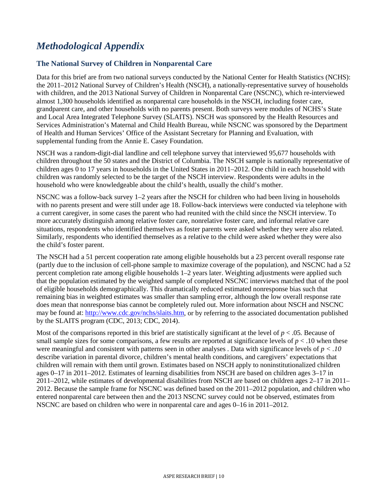## *Methodological Appendix*

#### **The National Survey of Children in Nonparental Care**

Data for this brief are from two national surveys conducted by the National Center for Health Statistics (NCHS): the 2011–2012 National Survey of Children's Health (NSCH), a nationally-representative survey of households with children, and the 2013 National Survey of Children in Nonparental Care (NSCNC), which re-interviewed almost 1,300 households identified as nonparental care households in the NSCH, including foster care, grandparent care, and other households with no parents present. Both surveys were modules of NCHS's State and Local Area Integrated Telephone Survey (SLAITS). NSCH was sponsored by the Health Resources and Services Administration's Maternal and Child Health Bureau, while NSCNC was sponsored by the Department of Health and Human Services' Office of the Assistant Secretary for Planning and Evaluation, with supplemental funding from the Annie E. Casey Foundation.

NSCH was a random-digit-dial landline and cell telephone survey that interviewed 95,677 households with children throughout the 50 states and the District of Columbia. The NSCH sample is nationally representative of children ages 0 to 17 years in households in the United States in 2011–2012. One child in each household with children was randomly selected to be the target of the NSCH interview. Respondents were adults in the household who were knowledgeable about the child's health, usually the child's mother.

NSCNC was a follow-back survey 1–2 years after the NSCH for children who had been living in households with no parents present and were still under age 18. Follow-back interviews were conducted via telephone with a current caregiver, in some cases the parent who had reunited with the child since the NSCH interview. To more accurately distinguish among relative foster care, nonrelative foster care, and informal relative care situations, respondents who identified themselves as foster parents were asked whether they were also related. Similarly, respondents who identified themselves as a relative to the child were asked whether they were also the child's foster parent.

The NSCH had a 51 percent cooperation rate among eligible households but a 23 percent overall response rate (partly due to the inclusion of cell-phone sample to maximize coverage of the population), and NSCNC had a 52 percent completion rate among eligible households 1–2 years later. Weighting adjustments were applied such that the population estimated by the weighted sample of completed NSCNC interviews matched that of the pool of eligible households demographically. This dramatically reduced estimated nonresponse bias such that remaining bias in weighted estimates was smaller than sampling error, although the low overall response rate does mean that nonresponse bias cannot be completely ruled out. More information about NSCH and NSCNC may be found at: [http://www.cdc.gov/nchs/slaits.htm,](http://www.cdc.gov/nchs/slaits.htm) or by referring to the associated documentation published by the SLAITS program (CDC, 2013; CDC, 2014).

Most of the comparisons reported in this brief are statistically significant at the level of *p* < .05*.* Because of small sample sizes for some comparisons, a few results are reported at significance levels of  $p < 0.10$  when these were meaningful and consistent with patterns seen in other analyses *.* Data with significance levels of *p < .10*  describe variation in parental divorce, children's mental health conditions, and caregivers' expectations that children will remain with them until grown. Estimates based on NSCH apply to noninstitutionalized children ages 0–17 in 2011–2012. Estimates of learning disabilities from NSCH are based on children ages 3–17 in 2011–2012, while estimates of developmental disabilities from NSCH are based on children ages 2–17 in 2011– 2012. Because the sample frame for NSCNC was defined based on the 2011–2012 population, and children who entered nonparental care between then and the 2013 NSCNC survey could not be observed, estimates from NSCNC are based on children who were in nonparental care and ages 0–16 in 2011–2012.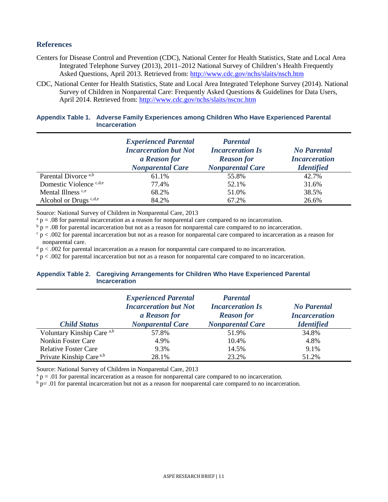#### **References**

- Centers for Disease Control and Prevention (CDC), National Center for Health Statistics, State and Local Area Integrated Telephone Survey (2013), 2011–2012 National Survey of Children's Health Frequently Asked Questions, April 2013. Retrieved from:<http://www.cdc.gov/nchs/slaits/nsch.htm>
- CDC, National Center for Health Statistics, State and Local Area Integrated Telephone Survey (2014). National Survey of Children in Nonparental Care: Frequently Asked Questions & Guidelines for Data Users, April 2014. Retrieved from:<http://www.cdc.gov/nchs/slaits/nscnc.htm>

| Appendix Table 1. Adverse Family Experiences among Children Who Have Experienced Parental |
|-------------------------------------------------------------------------------------------|
| <b>Incarceration</b>                                                                      |

|                                   | <b>Experienced Parental</b><br><b>Incarceration but Not</b><br>a Reason for<br><b>Nonparental Care</b> | <b>Parental</b><br><b>Incarceration Is</b><br><b>Reason for</b><br><b>Nonparental Care</b> | <b>No Parental</b><br><b>Incarceration</b><br><b>Identified</b> |
|-----------------------------------|--------------------------------------------------------------------------------------------------------|--------------------------------------------------------------------------------------------|-----------------------------------------------------------------|
| Parental Divorce a,b              | 61.1%                                                                                                  | 55.8%                                                                                      | 42.7%                                                           |
| Domestic Violence c,d,e           | 77.4%                                                                                                  | 52.1%                                                                                      | 31.6%                                                           |
| Mental Illness c,e                | 68.2%                                                                                                  | 51.0%                                                                                      | 38.5%                                                           |
| Alcohol or Drugs <sup>c,d,e</sup> | 84.2%                                                                                                  | 67.2%                                                                                      | 26.6%                                                           |

Source: National Survey of Children in Nonparental Care, 2013

 $a$  p = .08 for parental incarceration as a reason for nonparental care compared to no incarceration.

 $b<sub>p</sub> = .08$  for parental incarceration but not as a reason for nonparental care compared to no incarceration.

 $\frac{c}{p}$   $>$  0.002 for parental incarceration but not as a reason for nonparental care compared to incarceration as a reason for nonparental care.

 $d$  p < .002 for parental incarceration as a reason for nonparental care compared to no incarceration.

 $e$  p < .002 for parental incarceration but not as a reason for nonparental care compared to no incarceration.

#### **Appendix Table 2. Caregiving Arrangements for Children Who Have Experienced Parental Incarceration**

|                                     | <b>Experienced Parental</b><br><b>Incarceration but Not</b><br>a Reason for | <b>Parental</b><br><b>Incarceration Is</b><br><b>Reason for</b> | <b>No Parental</b><br><b>Incarceration</b> |
|-------------------------------------|-----------------------------------------------------------------------------|-----------------------------------------------------------------|--------------------------------------------|
| <b>Child Status</b>                 | <b>Nonparental Care</b>                                                     | <b>Nonparental Care</b>                                         | <b>Identified</b>                          |
| Voluntary Kinship Care a,b          | 57.8%                                                                       | 51.9%                                                           | 34.8%                                      |
| <b>Nonkin Foster Care</b>           | 4.9%                                                                        | 10.4%                                                           | 4.8%                                       |
| <b>Relative Foster Care</b>         | 9.3%                                                                        | 14.5%                                                           | 9.1%                                       |
| Private Kinship Care <sup>a,b</sup> | 28.1%                                                                       | 23.2%                                                           | 51.2%                                      |

Source: National Survey of Children in Nonparental Care, 2013

 $a$  p = .01 for parental incarceration as a reason for nonparental care compared to no incarceration.

 $\overrightarrow{p}$  p= .01 for parental incarceration but not as a reason for nonparental care compared to no incarceration.